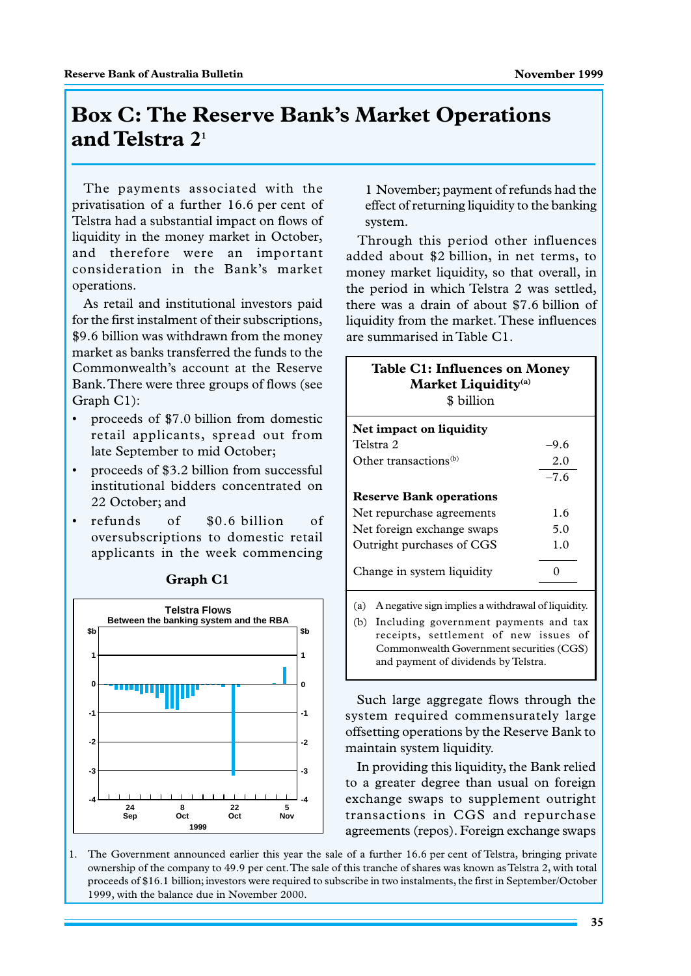## **Box C: The Reserve Bank's Market Operations and Telstra 21**

The payments associated with the privatisation of a further 16.6 per cent of Telstra had a substantial impact on flows of liquidity in the money market in October, and therefore were an important consideration in the Bank's market operations.

As retail and institutional investors paid for the first instalment of their subscriptions, \$9.6 billion was withdrawn from the money market as banks transferred the funds to the Commonwealth's account at the Reserve Bank. There were three groups of flows (see Graph C1):

- proceeds of \$7.0 billion from domestic retail applicants, spread out from late September to mid October;
- proceeds of \$3.2 billion from successful institutional bidders concentrated on 22 October; and
- refunds of \$0.6 billion of oversubscriptions to domestic retail applicants in the week commencing



**Graph C1**

1 November; payment of refunds had the effect of returning liquidity to the banking system.

Through this period other influences added about \$2 billion, in net terms, to money market liquidity, so that overall, in the period in which Telstra 2 was settled, there was a drain of about \$7.6 billion of liquidity from the market. These influences are summarised in Table C1.

| Table C1: Influences on Money<br>Market Liquidity <sup>(a)</sup><br>\$ billion |        |
|--------------------------------------------------------------------------------|--------|
| Net impact on liquidity                                                        |        |
| Telstra 2                                                                      | -9.6   |
| Other transactions <sup>(b)</sup>                                              | 2.0    |
|                                                                                | $-7.6$ |
| <b>Reserve Bank operations</b>                                                 |        |
| Net repurchase agreements                                                      | 1.6    |
| Net foreign exchange swaps                                                     | 5.0    |
| Outright purchases of CGS                                                      | 1.0    |
| Change in system liquidity                                                     |        |
| A negative sign implies a withdrawal of liquidity.<br>(a)                      |        |

(b) Including government payments and tax receipts, settlement of new issues of Commonwealth Government securities (CGS) and payment of dividends by Telstra.

Such large aggregate flows through the system required commensurately large offsetting operations by the Reserve Bank to maintain system liquidity.

In providing this liquidity, the Bank relied to a greater degree than usual on foreign exchange swaps to supplement outright transactions in CGS and repurchase agreements (repos). Foreign exchange swaps

1. The Government announced earlier this year the sale of a further 16.6 per cent of Telstra, bringing private ownership of the company to 49.9 per cent. The sale of this tranche of shares was known as Telstra 2, with total proceeds of \$16.1 billion; investors were required to subscribe in two instalments, the first in September/October 1999, with the balance due in November 2000.